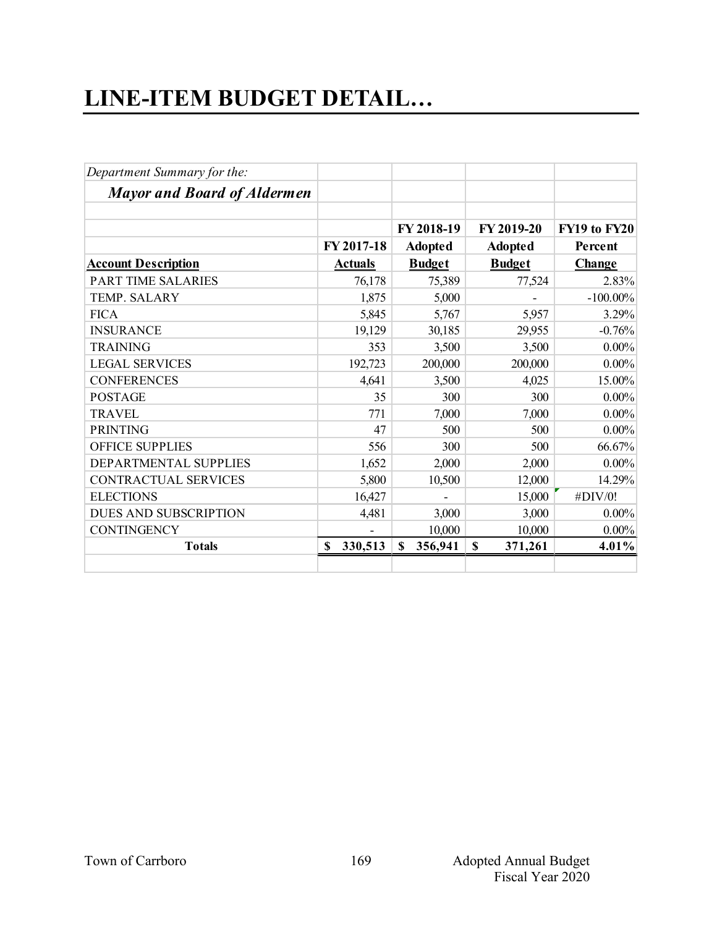## **LINE-ITEM BUDGET DETAIL…**

| Department Summary for the:        |                |                |                        |              |
|------------------------------------|----------------|----------------|------------------------|--------------|
| <b>Mayor and Board of Aldermen</b> |                |                |                        |              |
|                                    |                | FY 2018-19     | FY 2019-20             | FY19 to FY20 |
|                                    | FY 2017-18     | <b>Adopted</b> | <b>Adopted</b>         | Percent      |
| <b>Account Description</b>         | <b>Actuals</b> | <b>Budget</b>  | <b>Budget</b>          | Change       |
| <b>PART TIME SALARIES</b>          | 76,178         | 75,389         | 77,524                 | 2.83%        |
| TEMP. SALARY                       | 1,875          | 5,000          |                        | $-100.00\%$  |
| <b>FICA</b>                        | 5,845          | 5,767          | 5,957                  | 3.29%        |
| <b>INSURANCE</b>                   | 19,129         | 30,185         | 29,955                 | $-0.76%$     |
| <b>TRAINING</b>                    | 353            | 3,500          | 3,500                  | $0.00\%$     |
| <b>LEGAL SERVICES</b>              | 192,723        | 200,000        | 200,000                | $0.00\%$     |
| <b>CONFERENCES</b>                 | 4,641          | 3,500          | 4,025                  | 15.00%       |
| <b>POSTAGE</b>                     | 35             | 300            | 300                    | $0.00\%$     |
| <b>TRAVEL</b>                      | 771            | 7,000          | 7,000                  | $0.00\%$     |
| <b>PRINTING</b>                    | 47             | 500            | 500                    | $0.00\%$     |
| <b>OFFICE SUPPLIES</b>             | 556            | 300            | 500                    | 66.67%       |
| DEPARTMENTAL SUPPLIES              | 1,652          | 2,000          | 2,000                  | $0.00\%$     |
| <b>CONTRACTUAL SERVICES</b>        | 5,800          | 10,500         | 12,000                 | 14.29%       |
| <b>ELECTIONS</b>                   | 16,427         |                | 15,000                 | #DIV/0!      |
| <b>DUES AND SUBSCRIPTION</b>       | 4,481          | 3,000          | 3,000                  | $0.00\%$     |
| <b>CONTINGENCY</b>                 |                | 10,000         | 10,000                 | $0.00\%$     |
| <b>Totals</b>                      | \$<br>330,513  | S.<br>356,941  | $\mathbf S$<br>371,261 | 4.01%        |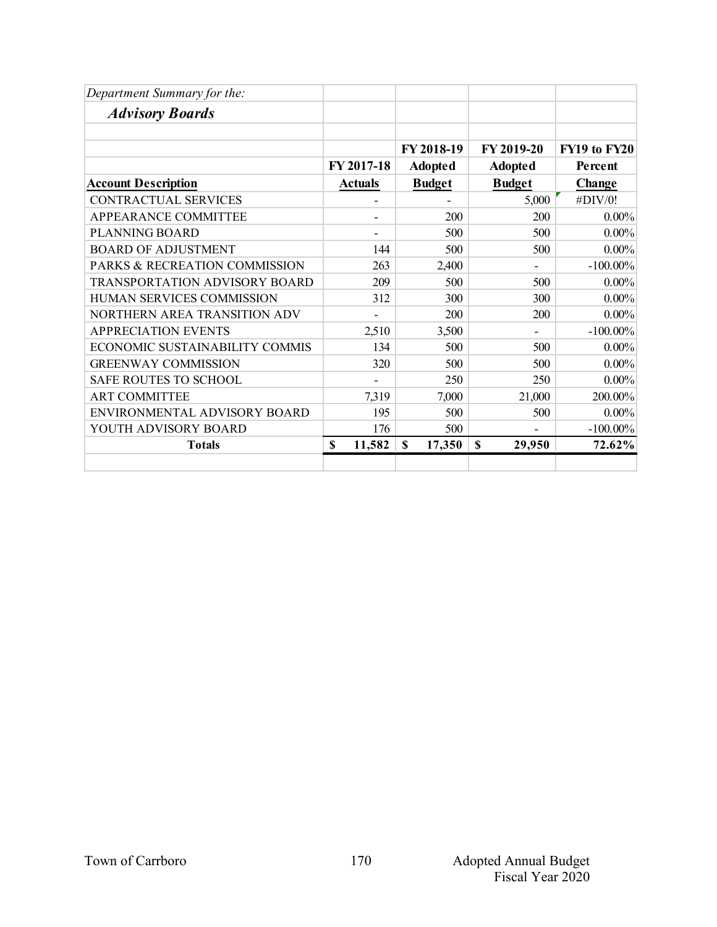| Department Summary for the:    |                |                |                |              |
|--------------------------------|----------------|----------------|----------------|--------------|
| <b>Advisory Boards</b>         |                |                |                |              |
|                                |                |                |                |              |
|                                |                | FY 2018-19     | FY 2019-20     | FY19 to FY20 |
|                                | FY 2017-18     | <b>Adopted</b> | <b>Adopted</b> | Percent      |
| <b>Account Description</b>     | <b>Actuals</b> | <b>Budget</b>  | <b>Budget</b>  | Change       |
| CONTRACTUAL SERVICES           |                |                | 5,000          | #DIV/0!      |
| APPEARANCE COMMITTEE           |                | 200            | 200            | $0.00\%$     |
| PLANNING BOARD                 |                | 500            | 500            | $0.00\%$     |
| <b>BOARD OF ADJUSTMENT</b>     | 144            | 500            | 500            | $0.00\%$     |
| PARKS & RECREATION COMMISSION  | 263            | 2,400          |                | $-100.00\%$  |
| TRANSPORTATION ADVISORY BOARD  | 209            | 500            | 500            | $0.00\%$     |
| HUMAN SERVICES COMMISSION      | 312            | 300            | 300            | $0.00\%$     |
| NORTHERN AREA TRANSITION ADV   |                | 200            | 200            | $0.00\%$     |
| <b>APPRECIATION EVENTS</b>     | 2,510          | 3,500          |                | $-100.00\%$  |
| ECONOMIC SUSTAINABILITY COMMIS | 134            | 500            | 500            | $0.00\%$     |
| <b>GREENWAY COMMISSION</b>     | 320            | 500            | 500            | $0.00\%$     |
| SAFE ROUTES TO SCHOOL          |                | 250            | 250            | $0.00\%$     |
| <b>ART COMMITTEE</b>           | 7,319          | 7,000          | 21,000         | 200.00%      |
| ENVIRONMENTAL ADVISORY BOARD   | 195            | 500            | 500            | $0.00\%$     |
| YOUTH ADVISORY BOARD           | 176            | 500            |                | $-100.00\%$  |
| <b>Totals</b>                  | 11,582<br>\$   | \$<br>17,350   | \$<br>29,950   | 72.62%       |
|                                |                |                |                |              |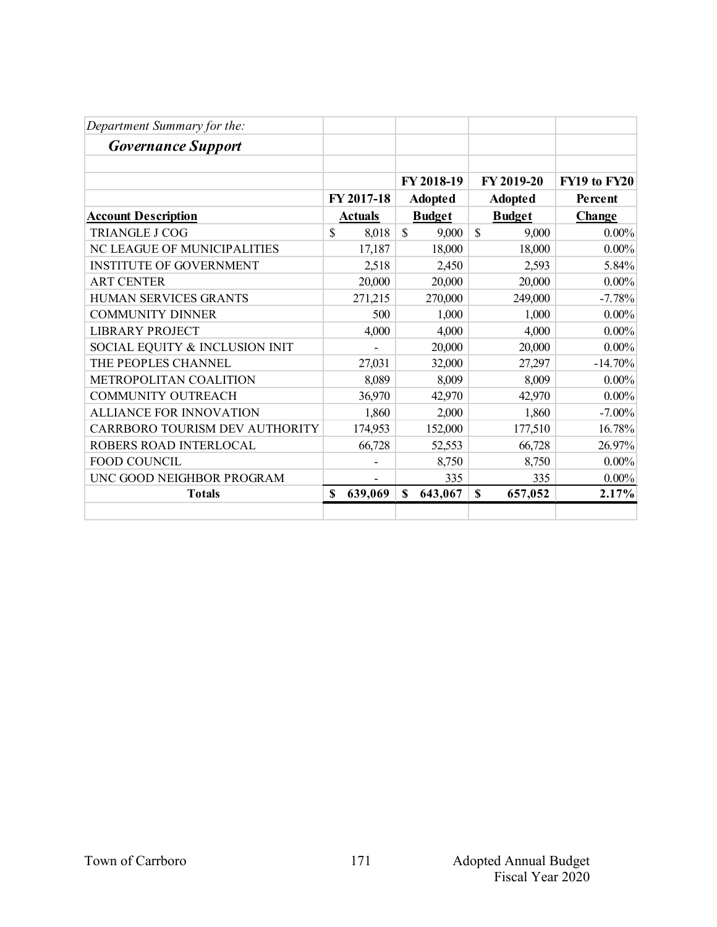| Department Summary for the:    |                |                       |                        |              |
|--------------------------------|----------------|-----------------------|------------------------|--------------|
| <b>Governance Support</b>      |                |                       |                        |              |
|                                |                |                       |                        |              |
|                                |                | FY 2018-19            | FY 2019-20             | FY19 to FY20 |
|                                | FY 2017-18     | <b>Adopted</b>        | <b>Adopted</b>         | Percent      |
| <b>Account Description</b>     | <b>Actuals</b> | <b>Budget</b>         | <b>Budget</b>          | Change       |
| <b>TRIANGLE J COG</b>          | \$<br>8,018    | $\mathbb{S}$<br>9,000 | $\mathbb{S}$<br>9,000  | $0.00\%$     |
| NC LEAGUE OF MUNICIPALITIES    | 17,187         | 18,000                | 18,000                 | $0.00\%$     |
| <b>INSTITUTE OF GOVERNMENT</b> | 2,518          | 2,450                 | 2,593                  | 5.84%        |
| <b>ART CENTER</b>              | 20,000         | 20,000                | 20,000                 | $0.00\%$     |
| <b>HUMAN SERVICES GRANTS</b>   | 271,215        | 270,000               | 249,000                | $-7.78%$     |
| <b>COMMUNITY DINNER</b>        | 500            | 1,000                 | 1,000                  | $0.00\%$     |
| <b>LIBRARY PROJECT</b>         | 4,000          | 4,000                 | 4,000                  | $0.00\%$     |
| SOCIAL EQUITY & INCLUSION INIT |                | 20,000                | 20,000                 | $0.00\%$     |
| THE PEOPLES CHANNEL            | 27,031         | 32,000                | 27,297                 | $-14.70%$    |
| <b>METROPOLITAN COALITION</b>  | 8,089          | 8,009                 | 8,009                  | $0.00\%$     |
| <b>COMMUNITY OUTREACH</b>      | 36,970         | 42,970                | 42,970                 | $0.00\%$     |
| <b>ALLIANCE FOR INNOVATION</b> | 1,860          | 2,000                 | 1,860                  | $-7.00\%$    |
| CARRBORO TOURISM DEV AUTHORITY | 174,953        | 152,000               | 177,510                | 16.78%       |
| ROBERS ROAD INTERLOCAL         | 66,728         | 52,553                | 66,728                 | 26.97%       |
| <b>FOOD COUNCIL</b>            |                | 8,750                 | 8,750                  | $0.00\%$     |
| UNC GOOD NEIGHBOR PROGRAM      |                | 335                   | 335                    | $0.00\%$     |
| <b>Totals</b>                  | \$<br>639,069  | \$<br>643,067         | $\mathbf S$<br>657,052 | 2.17%        |
|                                |                |                       |                        |              |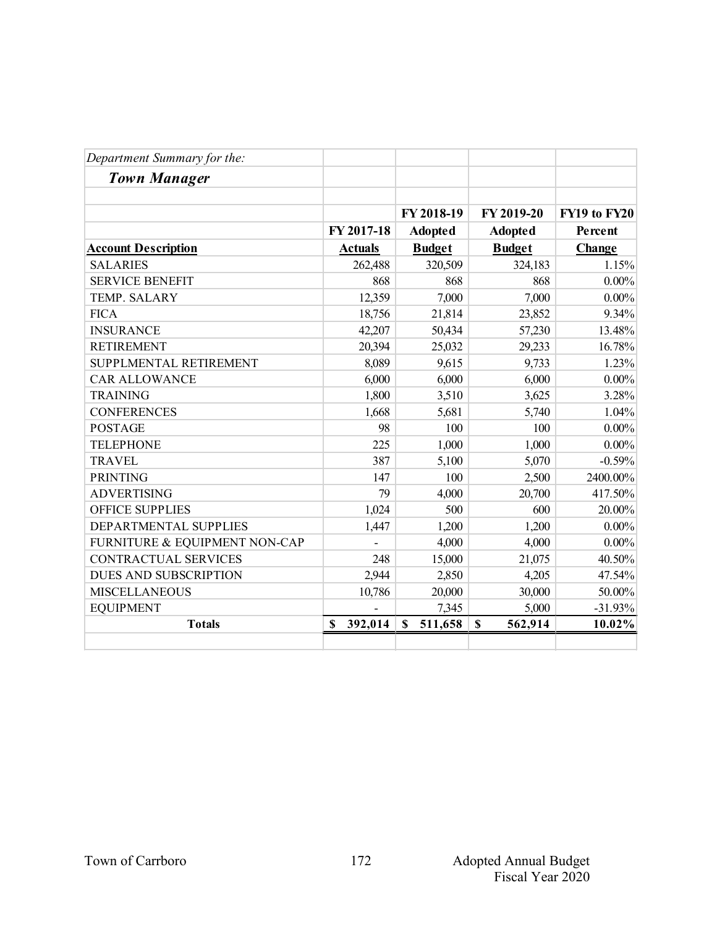| Department Summary for the:   |                |                        |                        |              |
|-------------------------------|----------------|------------------------|------------------------|--------------|
| <b>Town Manager</b>           |                |                        |                        |              |
|                               |                |                        |                        |              |
|                               |                | FY 2018-19             | FY 2019-20             | FY19 to FY20 |
|                               | FY 2017-18     | <b>Adopted</b>         | <b>Adopted</b>         | Percent      |
| <b>Account Description</b>    | <b>Actuals</b> | <b>Budget</b>          | <b>Budget</b>          | Change       |
| <b>SALARIES</b>               | 262,488        | 320,509                | 324,183                | 1.15%        |
| <b>SERVICE BENEFIT</b>        | 868            | 868                    | 868                    | $0.00\%$     |
| TEMP. SALARY                  | 12,359         | 7,000                  | 7,000                  | $0.00\%$     |
| <b>FICA</b>                   | 18,756         | 21,814                 | 23,852                 | 9.34%        |
| <b>INSURANCE</b>              | 42,207         | 50,434                 | 57,230                 | 13.48%       |
| <b>RETIREMENT</b>             | 20,394         | 25,032                 | 29,233                 | 16.78%       |
| SUPPLMENTAL RETIREMENT        | 8,089          | 9,615                  | 9,733                  | 1.23%        |
| <b>CAR ALLOWANCE</b>          | 6,000          | 6,000                  | 6,000                  | $0.00\%$     |
| <b>TRAINING</b>               | 1,800          | 3,510                  | 3,625                  | 3.28%        |
| <b>CONFERENCES</b>            | 1,668          | 5,681                  | 5,740                  | 1.04%        |
| <b>POSTAGE</b>                | 98             | 100                    | 100                    | $0.00\%$     |
| <b>TELEPHONE</b>              | 225            | 1,000                  | 1,000                  | $0.00\%$     |
| <b>TRAVEL</b>                 | 387            | 5,100                  | 5,070                  | $-0.59%$     |
| <b>PRINTING</b>               | 147            | 100                    | 2,500                  | 2400.00%     |
| <b>ADVERTISING</b>            | 79             | 4,000                  | 20,700                 | 417.50%      |
| <b>OFFICE SUPPLIES</b>        | 1,024          | 500                    | 600                    | 20.00%       |
| DEPARTMENTAL SUPPLIES         | 1,447          | 1,200                  | 1,200                  | $0.00\%$     |
| FURNITURE & EQUIPMENT NON-CAP |                | 4,000                  | 4,000                  | $0.00\%$     |
| <b>CONTRACTUAL SERVICES</b>   | 248            | 15,000                 | 21,075                 | 40.50%       |
| DUES AND SUBSCRIPTION         | 2,944          | 2,850                  | 4,205                  | 47.54%       |
| <b>MISCELLANEOUS</b>          | 10,786         | 20,000                 | 30,000                 | 50.00%       |
| <b>EQUIPMENT</b>              |                | 7,345                  | 5,000                  | $-31.93%$    |
| <b>Totals</b>                 | 392,014<br>\$  | 511,658<br>$\mathbf S$ | $\mathbf S$<br>562,914 | 10.02%       |
|                               |                |                        |                        |              |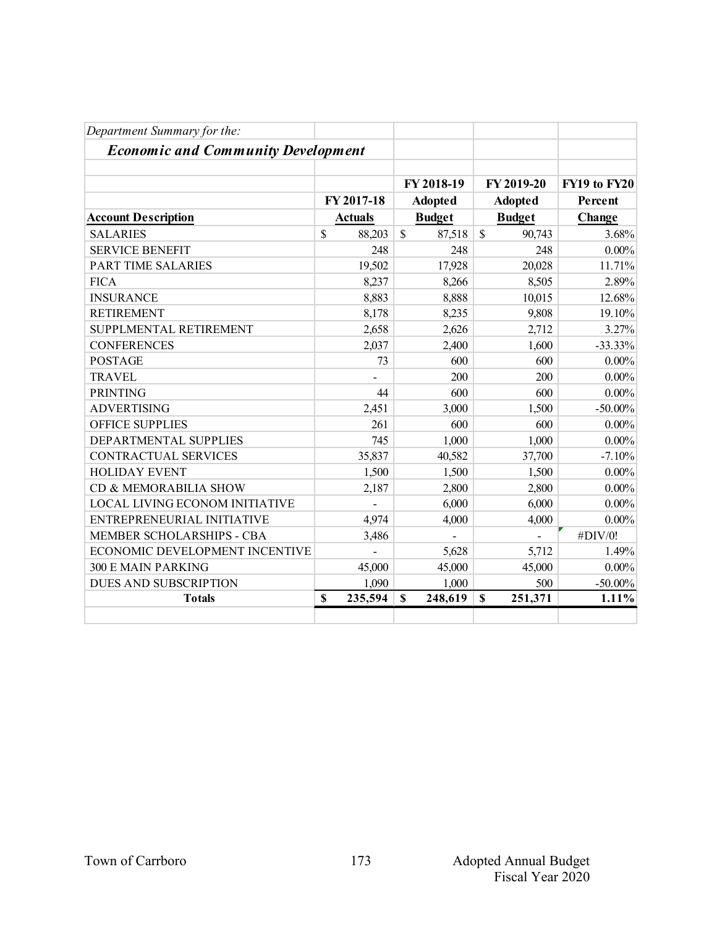| Department Summary for the:               |                |                         |                |              |
|-------------------------------------------|----------------|-------------------------|----------------|--------------|
| <b>Economic and Community Development</b> |                |                         |                |              |
|                                           |                | FY 2018-19              | FY 2019-20     | FY19 to FY20 |
|                                           | FY 2017-18     | <b>Adopted</b>          | <b>Adopted</b> | Percent      |
| <b>Account Description</b>                | <b>Actuals</b> | <b>Budget</b>           | <b>Budget</b>  | Change       |
| <b>SALARIES</b>                           | \$<br>88,203   | $\mathcal{S}$<br>87,518 | \$<br>90,743   | 3.68%        |
| <b>SERVICE BENEFIT</b>                    | 248            | 248                     | 248            | $0.00\%$     |
| PART TIME SALARIES                        | 19,502         | 17,928                  | 20,028         | 11.71%       |
| <b>FICA</b>                               | 8,237          | 8,266                   | 8,505          | 2.89%        |
| <b>INSURANCE</b>                          | 8,883          | 8,888                   | 10,015         | 12.68%       |
| <b>RETIREMENT</b>                         | 8,178          | 8,235                   | 9,808          | 19.10%       |
| SUPPLMENTAL RETIREMENT                    | 2,658          | 2,626                   | 2,712          | 3.27%        |
| <b>CONFERENCES</b>                        | 2,037          | 2,400                   | 1,600          | $-33.33%$    |
| <b>POSTAGE</b>                            | 73             | 600                     | 600            | $0.00\%$     |
| <b>TRAVEL</b>                             |                | 200                     | 200            | $0.00\%$     |
| <b>PRINTING</b>                           | 44             | 600                     | 600            | $0.00\%$     |
| <b>ADVERTISING</b>                        | 2,451          | 3,000                   | 1,500          | $-50.00\%$   |
| OFFICE SUPPLIES                           | 261            | 600                     | 600            | $0.00\%$     |
| DEPARTMENTAL SUPPLIES                     | 745            | 1,000                   | 1,000          | $0.00\%$     |
| <b>CONTRACTUAL SERVICES</b>               | 35,837         | 40,582                  | 37,700         | $-7.10%$     |
| <b>HOLIDAY EVENT</b>                      | 1,500          | 1,500                   | 1,500          | $0.00\%$     |
| CD & MEMORABILIA SHOW                     | 2,187          | 2,800                   | 2,800          | $0.00\%$     |
| LOCAL LIVING ECONOM INITIATIVE            |                | 6,000                   | 6,000          | $0.00\%$     |
| ENTREPRENEURIAL INITIATIVE                | 4,974          | 4,000                   | 4,000          | $0.00\%$     |
| MEMBER SCHOLARSHIPS - CBA                 | 3,486          |                         |                | #DIV/0!      |
| ECONOMIC DEVELOPMENT INCENTIVE            |                | 5,628                   | 5,712          | 1.49%        |
| <b>300 E MAIN PARKING</b>                 | 45,000         | 45,000                  | 45,000         | $0.00\%$     |
| <b>DUES AND SUBSCRIPTION</b>              | 1,090          | 1,000                   | 500            | $-50.00\%$   |
| <b>Totals</b>                             | \$<br>235,594  | S<br>248,619            | \$<br>251,371  | 1.11%        |
|                                           |                |                         |                |              |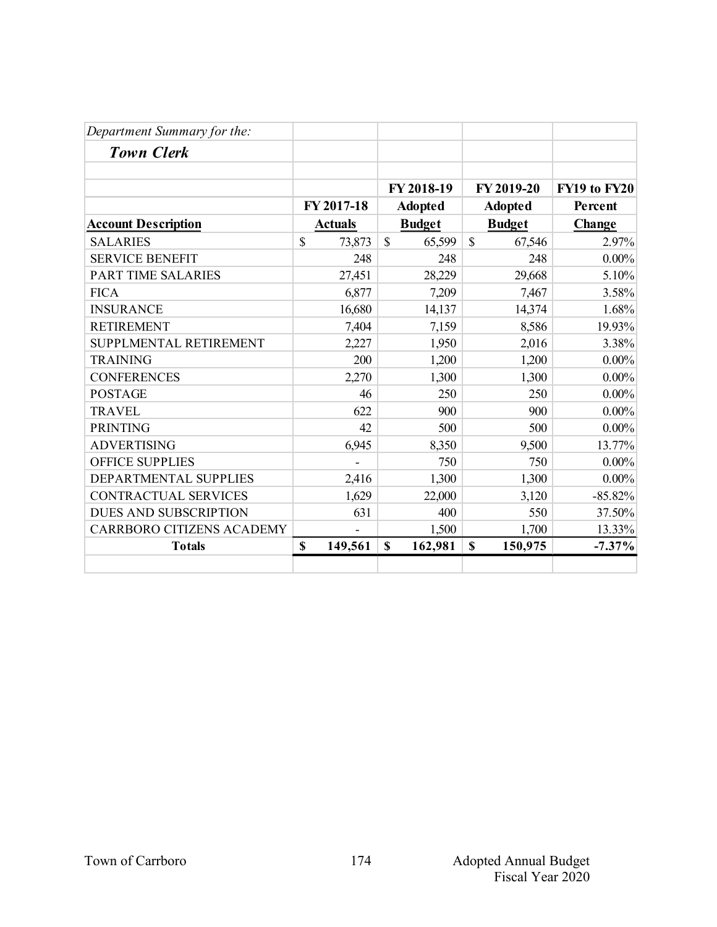| Department Summary for the:      |                |                        |                        |              |
|----------------------------------|----------------|------------------------|------------------------|--------------|
| <b>Town Clerk</b>                |                |                        |                        |              |
|                                  |                |                        |                        |              |
|                                  |                | FY 2018-19             | FY 2019-20             | FY19 to FY20 |
|                                  | FY 2017-18     | <b>Adopted</b>         | <b>Adopted</b>         | Percent      |
| <b>Account Description</b>       | <b>Actuals</b> | <b>Budget</b>          | <b>Budget</b>          | Change       |
| <b>SALARIES</b>                  | \$<br>73,873   | $\mathbb{S}$<br>65,599 | $\mathbb{S}$<br>67,546 | 2.97%        |
| <b>SERVICE BENEFIT</b>           | 248            | 248                    | 248                    | $0.00\%$     |
| <b>PART TIME SALARIES</b>        | 27,451         | 28,229                 | 29,668                 | 5.10%        |
| <b>FICA</b>                      | 6,877          | 7,209                  | 7,467                  | 3.58%        |
| <b>INSURANCE</b>                 | 16,680         | 14,137                 | 14,374                 | 1.68%        |
| <b>RETIREMENT</b>                | 7,404          | 7,159                  | 8,586                  | 19.93%       |
| SUPPLMENTAL RETIREMENT           | 2,227          | 1,950                  | 2,016                  | 3.38%        |
| <b>TRAINING</b>                  | 200            | 1,200                  | 1,200                  | $0.00\%$     |
| <b>CONFERENCES</b>               | 2,270          | 1,300                  | 1,300                  | $0.00\%$     |
| <b>POSTAGE</b>                   | 46             | 250                    | 250                    | $0.00\%$     |
| <b>TRAVEL</b>                    | 622            | 900                    | 900                    | $0.00\%$     |
| <b>PRINTING</b>                  | 42             | 500                    | 500                    | $0.00\%$     |
| <b>ADVERTISING</b>               | 6,945          | 8,350                  | 9,500                  | 13.77%       |
| <b>OFFICE SUPPLIES</b>           |                | 750                    | 750                    | $0.00\%$     |
| DEPARTMENTAL SUPPLIES            | 2,416          | 1,300                  | 1,300                  | $0.00\%$     |
| <b>CONTRACTUAL SERVICES</b>      | 1,629          | 22,000                 | 3,120                  | $-85.82%$    |
| <b>DUES AND SUBSCRIPTION</b>     | 631            | 400                    | 550                    | 37.50%       |
| <b>CARRBORO CITIZENS ACADEMY</b> |                | 1,500                  | 1,700                  | 13.33%       |
| <b>Totals</b>                    | \$<br>149,561  | $\mathbf S$<br>162,981 | \$<br>150,975          | $-7.37\%$    |
|                                  |                |                        |                        |              |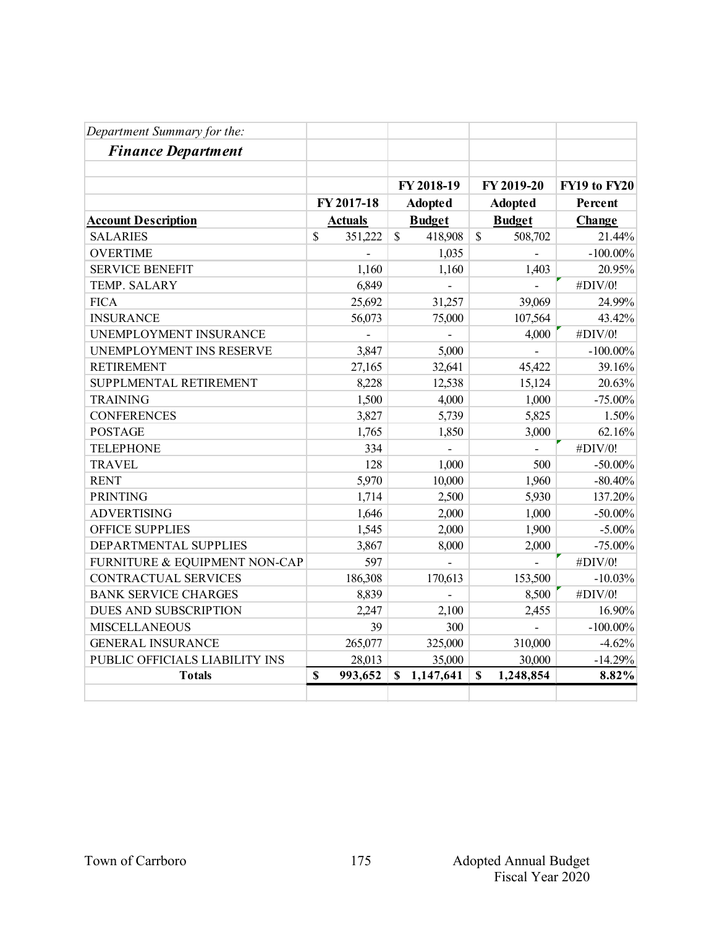| Department Summary for the:    |              |                |               |                |               |                |              |
|--------------------------------|--------------|----------------|---------------|----------------|---------------|----------------|--------------|
| <b>Finance Department</b>      |              |                |               |                |               |                |              |
|                                |              |                |               |                |               |                |              |
|                                |              |                |               | FY 2018-19     |               | FY 2019-20     | FY19 to FY20 |
|                                |              | FY 2017-18     |               | <b>Adopted</b> |               | <b>Adopted</b> | Percent      |
| <b>Account Description</b>     |              | <b>Actuals</b> |               | <b>Budget</b>  |               | <b>Budget</b>  | Change       |
| <b>SALARIES</b>                | $\mathbb{S}$ | 351,222        | $\mathcal{S}$ | 418,908        | $\mathcal{S}$ | 508,702        | 21.44%       |
| <b>OVERTIME</b>                |              |                |               | 1,035          |               |                | $-100.00\%$  |
| <b>SERVICE BENEFIT</b>         |              | 1,160          |               | 1,160          |               | 1,403          | 20.95%       |
| TEMP. SALARY                   |              | 6,849          |               |                |               |                | #DIV/0!      |
| <b>FICA</b>                    |              | 25,692         |               | 31,257         |               | 39,069         | 24.99%       |
| <b>INSURANCE</b>               |              | 56,073         |               | 75,000         |               | 107,564        | 43.42%       |
| UNEMPLOYMENT INSURANCE         |              |                |               |                |               | 4,000          | #DIV/0!      |
| UNEMPLOYMENT INS RESERVE       |              | 3,847          |               | 5,000          |               |                | $-100.00\%$  |
| <b>RETIREMENT</b>              |              | 27,165         |               | 32,641         |               | 45,422         | 39.16%       |
| SUPPLMENTAL RETIREMENT         |              | 8,228          |               | 12,538         |               | 15,124         | 20.63%       |
| <b>TRAINING</b>                |              | 1,500          |               | 4,000          |               | 1,000          | $-75.00\%$   |
| <b>CONFERENCES</b>             |              | 3,827          |               | 5,739          |               | 5,825          | 1.50%        |
| <b>POSTAGE</b>                 |              | 1,765          |               | 1,850          |               | 3,000          | 62.16%       |
| <b>TELEPHONE</b>               |              | 334            |               | $\overline{a}$ |               | $\overline{a}$ | #DIV/0!      |
| <b>TRAVEL</b>                  |              | 128            |               | 1,000          |               | 500            | $-50.00\%$   |
| <b>RENT</b>                    |              | 5,970          |               | 10,000         |               | 1,960          | $-80.40%$    |
| <b>PRINTING</b>                |              | 1,714          |               | 2,500          |               | 5,930          | 137.20%      |
| <b>ADVERTISING</b>             |              | 1,646          |               | 2,000          |               | 1,000          | $-50.00\%$   |
| <b>OFFICE SUPPLIES</b>         |              | 1,545          |               | 2,000          |               | 1,900          | $-5.00\%$    |
| DEPARTMENTAL SUPPLIES          |              | 3,867          |               | 8,000          |               | 2,000          | $-75.00%$    |
| FURNITURE & EQUIPMENT NON-CAP  |              | 597            |               |                |               |                | #DIV/0!      |
| <b>CONTRACTUAL SERVICES</b>    |              | 186,308        |               | 170,613        |               | 153,500        | $-10.03%$    |
| <b>BANK SERVICE CHARGES</b>    |              | 8,839          |               |                |               | 8,500          | #DIV/0!      |
| <b>DUES AND SUBSCRIPTION</b>   |              | 2,247          |               | 2,100          |               | 2,455          | 16.90%       |
| <b>MISCELLANEOUS</b>           |              | 39             |               | 300            |               | $\overline{a}$ | $-100.00\%$  |
| <b>GENERAL INSURANCE</b>       |              | 265,077        |               | 325,000        |               | 310,000        | $-4.62%$     |
| PUBLIC OFFICIALS LIABILITY INS |              | 28,013         |               | 35,000         |               | 30,000         | $-14.29%$    |
| <b>Totals</b>                  | $\mathbf S$  | 993,652        | $\mathbf S$   | 1,147,641      | $\mathbf S$   | 1,248,854      | 8.82%        |
|                                |              |                |               |                |               |                |              |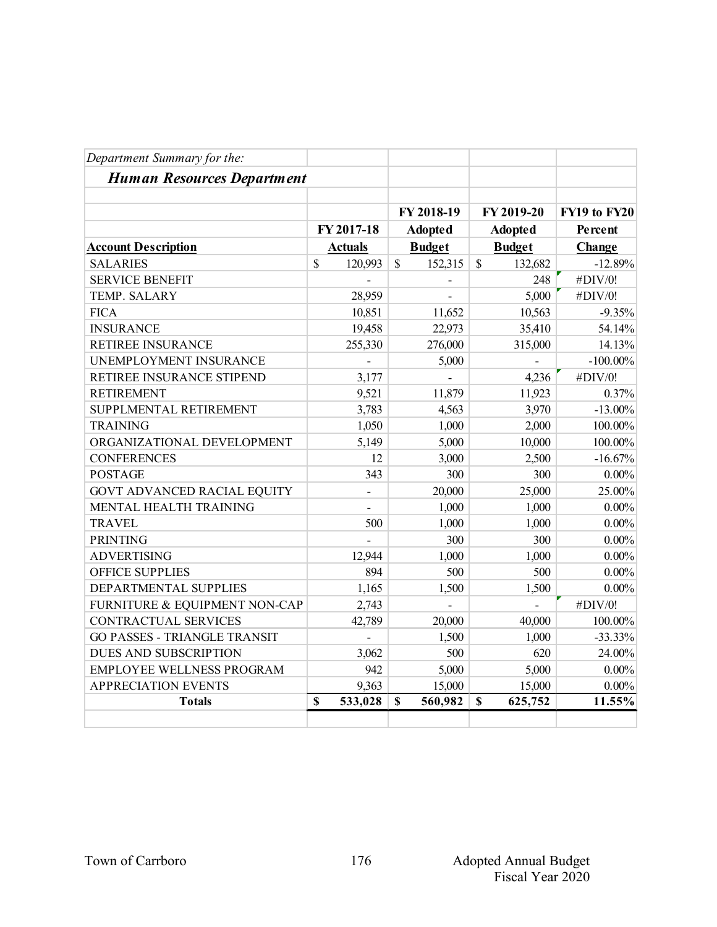| Department Summary for the:         |             |                |             |                          |               |                |              |
|-------------------------------------|-------------|----------------|-------------|--------------------------|---------------|----------------|--------------|
| <b>Human Resources Department</b>   |             |                |             |                          |               |                |              |
|                                     |             |                |             | FY 2018-19               |               | FY 2019-20     | FY19 to FY20 |
|                                     |             | FY 2017-18     |             | <b>Adopted</b>           |               | <b>Adopted</b> | Percent      |
| <b>Account Description</b>          |             | <b>Actuals</b> |             | <b>Budget</b>            |               | <b>Budget</b>  | Change       |
| <b>SALARIES</b>                     | $\mathbf S$ | 120,993        | \$          | 152,315                  | $\mathcal{S}$ | 132,682        | $-12.89%$    |
| <b>SERVICE BENEFIT</b>              |             |                |             |                          |               | 248            | #DIV/0!      |
| <b>TEMP. SALARY</b>                 |             | 28,959         |             | $\overline{\phantom{a}}$ |               | 5,000          | #DIV/0!      |
| <b>FICA</b>                         |             | 10,851         |             | 11,652                   |               | 10,563         | $-9.35%$     |
| <b>INSURANCE</b>                    |             | 19,458         |             | 22,973                   |               | 35,410         | 54.14%       |
| RETIREE INSURANCE                   |             | 255,330        |             | 276,000                  |               | 315,000        | 14.13%       |
| UNEMPLOYMENT INSURANCE              |             |                |             | 5,000                    |               |                | $-100.00\%$  |
| RETIREE INSURANCE STIPEND           |             | 3,177          |             |                          |               | 4,236          | #DIV/0!      |
| <b>RETIREMENT</b>                   |             | 9,521          |             | 11,879                   |               | 11,923         | 0.37%        |
| SUPPLMENTAL RETIREMENT              |             | 3,783          |             | 4,563                    |               | 3,970          | $-13.00\%$   |
| <b>TRAINING</b>                     |             | 1,050          |             | 1,000                    |               | 2,000          | 100.00%      |
| ORGANIZATIONAL DEVELOPMENT          |             | 5,149          |             | 5,000                    |               | 10,000         | 100.00%      |
| <b>CONFERENCES</b>                  |             | 12             |             | 3,000                    |               | 2,500          | $-16.67%$    |
| <b>POSTAGE</b>                      |             | 343            |             | 300                      |               | 300            | $0.00\%$     |
| <b>GOVT ADVANCED RACIAL EQUITY</b>  |             | $\overline{a}$ |             | 20,000                   |               | 25,000         | 25.00%       |
| MENTAL HEALTH TRAINING              |             |                |             | 1,000                    |               | 1,000          | $0.00\%$     |
| <b>TRAVEL</b>                       |             | 500            |             | 1,000                    |               | 1,000          | $0.00\%$     |
| <b>PRINTING</b>                     |             |                |             | 300                      |               | 300            | $0.00\%$     |
| <b>ADVERTISING</b>                  |             | 12,944         |             | 1,000                    |               | 1,000          | $0.00\%$     |
| <b>OFFICE SUPPLIES</b>              |             | 894            |             | 500                      |               | 500            | $0.00\%$     |
| DEPARTMENTAL SUPPLIES               |             | 1,165          |             | 1,500                    |               | 1,500          | $0.00\%$     |
| FURNITURE & EQUIPMENT NON-CAP       |             | 2,743          |             |                          |               |                | #DIV/0!      |
| <b>CONTRACTUAL SERVICES</b>         |             | 42,789         |             | 20,000                   |               | 40,000         | 100.00%      |
| <b>GO PASSES - TRIANGLE TRANSIT</b> |             | $\overline{a}$ |             | 1,500                    |               | 1,000          | $-33.33%$    |
| DUES AND SUBSCRIPTION               |             | 3,062          |             | 500                      |               | 620            | 24.00%       |
| <b>EMPLOYEE WELLNESS PROGRAM</b>    |             | 942            |             | 5,000                    |               | 5,000          | $0.00\%$     |
| <b>APPRECIATION EVENTS</b>          |             | 9,363          |             | 15,000                   |               | 15,000         | $0.00\%$     |
| <b>Totals</b>                       | $\mathbf S$ | 533,028        | $\mathbf S$ | 560,982                  | $\mathbf S$   | 625,752        | 11.55%       |
|                                     |             |                |             |                          |               |                |              |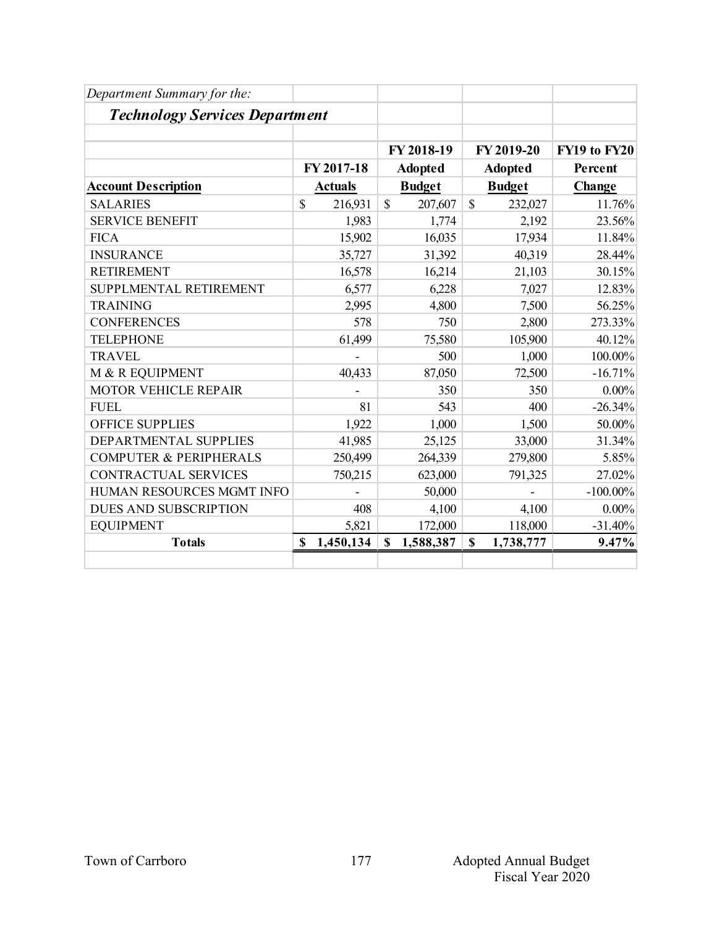| Department Summary for the:           |                 |               |                |               |                |              |
|---------------------------------------|-----------------|---------------|----------------|---------------|----------------|--------------|
| <b>Technology Services Department</b> |                 |               |                |               |                |              |
|                                       |                 |               | FY 2018-19     |               | FY 2019-20     | FY19 to FY20 |
|                                       | FY 2017-18      |               | <b>Adopted</b> |               | <b>Adopted</b> | Percent      |
| <b>Account Description</b>            | <b>Actuals</b>  | <b>Budget</b> |                | <b>Budget</b> |                | Change       |
| <b>SALARIES</b>                       | \$<br>216,931   | $\mathbb{S}$  | 207,607        | $\mathbb{S}$  | 232,027        | 11.76%       |
| <b>SERVICE BENEFIT</b>                | 1,983           |               | 1,774          |               | 2,192          | 23.56%       |
| <b>FICA</b>                           | 15,902          |               | 16,035         |               | 17,934         | 11.84%       |
| <b>INSURANCE</b>                      | 35,727          |               | 31,392         |               | 40,319         | 28.44%       |
| <b>RETIREMENT</b>                     | 16,578          |               | 16,214         |               | 21,103         | 30.15%       |
| SUPPLMENTAL RETIREMENT                | 6,577           |               | 6,228          |               | 7,027          | 12.83%       |
| <b>TRAINING</b>                       | 2,995           |               | 4,800          |               | 7,500          | 56.25%       |
| <b>CONFERENCES</b>                    | 578             |               | 750            |               | 2,800          | 273.33%      |
| <b>TELEPHONE</b>                      | 61,499          |               | 75,580         |               | 105,900        | 40.12%       |
| <b>TRAVEL</b>                         |                 |               | 500            |               | 1,000          | 100.00%      |
| M & R EQUIPMENT                       | 40,433          |               | 87,050         |               | 72,500         | $-16.71%$    |
| <b>MOTOR VEHICLE REPAIR</b>           |                 |               | 350            |               | 350            | $0.00\%$     |
| <b>FUEL</b>                           | 81              |               | 543            |               | 400            | $-26.34%$    |
| <b>OFFICE SUPPLIES</b>                | 1,922           |               | 1,000          |               | 1,500          | 50.00%       |
| DEPARTMENTAL SUPPLIES                 | 41,985          |               | 25,125         |               | 33,000         | 31.34%       |
| <b>COMPUTER &amp; PERIPHERALS</b>     | 250,499         |               | 264,339        |               | 279,800        | 5.85%        |
| <b>CONTRACTUAL SERVICES</b>           | 750,215         |               | 623,000        |               | 791,325        | 27.02%       |
| HUMAN RESOURCES MGMT INFO             |                 |               | 50,000         |               |                | $-100.00\%$  |
| <b>DUES AND SUBSCRIPTION</b>          | 408             |               | 4,100          |               | 4,100          | $0.00\%$     |
| <b>EQUIPMENT</b>                      | 5,821           |               | 172,000        |               | 118,000        | $-31.40%$    |
| <b>Totals</b>                         | \$<br>1,450,134 | $\mathbf S$   | 1,588,387      | \$            | 1,738,777      | 9.47%        |
|                                       |                 |               |                |               |                |              |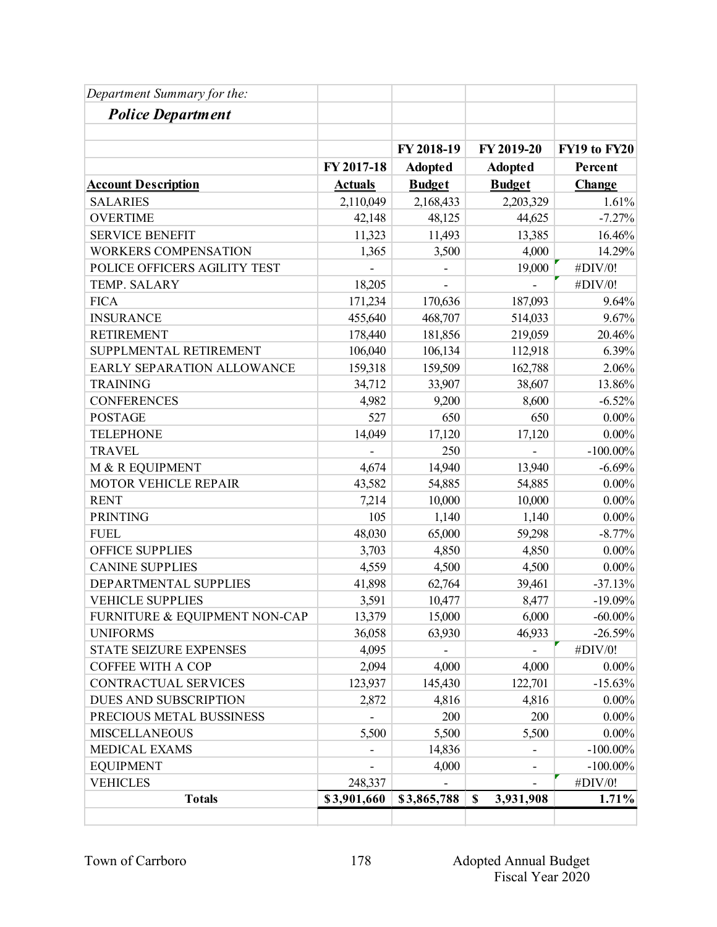| Department Summary for the:   |                |                          |                                        |              |
|-------------------------------|----------------|--------------------------|----------------------------------------|--------------|
| <b>Police Department</b>      |                |                          |                                        |              |
|                               |                |                          |                                        |              |
|                               |                | FY 2018-19               | FY 2019-20                             | FY19 to FY20 |
|                               | FY 2017-18     | <b>Adopted</b>           | <b>Adopted</b>                         | Percent      |
| <b>Account Description</b>    | <b>Actuals</b> | <b>Budget</b>            | <b>Budget</b>                          | Change       |
| <b>SALARIES</b>               | 2,110,049      | 2,168,433                | 2,203,329                              | 1.61%        |
| <b>OVERTIME</b>               | 42,148         | 48,125                   | 44,625                                 | $-7.27%$     |
| <b>SERVICE BENEFIT</b>        | 11,323         | 11,493                   | 13,385                                 | 16.46%       |
| <b>WORKERS COMPENSATION</b>   | 1,365          | 3,500                    | 4,000                                  | 14.29%       |
| POLICE OFFICERS AGILITY TEST  |                | $\overline{\phantom{a}}$ | 19,000                                 | #DIV/0!      |
| TEMP. SALARY                  | 18,205         |                          |                                        | #DIV/0!      |
| <b>FICA</b>                   | 171,234        | 170,636                  | 187,093                                | 9.64%        |
| <b>INSURANCE</b>              | 455,640        | 468,707                  | 514,033                                | 9.67%        |
| <b>RETIREMENT</b>             | 178,440        | 181,856                  | 219,059                                | 20.46%       |
| SUPPLMENTAL RETIREMENT        | 106,040        | 106,134                  | 112,918                                | 6.39%        |
| EARLY SEPARATION ALLOWANCE    | 159,318        | 159,509                  | 162,788                                | 2.06%        |
| <b>TRAINING</b>               | 34,712         | 33,907                   | 38,607                                 | 13.86%       |
| <b>CONFERENCES</b>            | 4,982          | 9,200                    | 8,600                                  | $-6.52%$     |
| <b>POSTAGE</b>                | 527            | 650                      | 650                                    | $0.00\%$     |
| <b>TELEPHONE</b>              | 14,049         | 17,120                   | 17,120                                 | $0.00\%$     |
| <b>TRAVEL</b>                 |                | 250                      |                                        | $-100.00\%$  |
| M & R EQUIPMENT               | 4,674          | 14,940                   | 13,940                                 | $-6.69%$     |
| MOTOR VEHICLE REPAIR          | 43,582         | 54,885                   | 54,885                                 | $0.00\%$     |
| <b>RENT</b>                   | 7,214          | 10,000                   | 10,000                                 | $0.00\%$     |
| <b>PRINTING</b>               | 105            | 1,140                    | 1,140                                  | $0.00\%$     |
| <b>FUEL</b>                   | 48,030         | 65,000                   | 59,298                                 | $-8.77%$     |
| <b>OFFICE SUPPLIES</b>        | 3,703          | 4,850                    | 4,850                                  | $0.00\%$     |
| <b>CANINE SUPPLIES</b>        | 4,559          | 4,500                    | 4,500                                  | $0.00\%$     |
| DEPARTMENTAL SUPPLIES         | 41,898         | 62,764                   | 39,461                                 | $-37.13%$    |
| <b>VEHICLE SUPPLIES</b>       | 3,591          | 10,477                   | 8,477                                  | $-19.09%$    |
| FURNITURE & EQUIPMENT NON-CAP | 13,379         | 15,000                   | 6,000                                  | $-60.00\%$   |
| <b>UNIFORMS</b>               | 36,058         | 63,930                   | 46,933                                 | $-26.59%$    |
| <b>STATE SEIZURE EXPENSES</b> | 4,095          |                          |                                        | #DIV/0!      |
| COFFEE WITH A COP             | 2,094          | 4,000                    | 4,000                                  | $0.00\%$     |
| <b>CONTRACTUAL SERVICES</b>   | 123,937        | 145,430                  | 122,701                                | $-15.63%$    |
| DUES AND SUBSCRIPTION         | 2,872          | 4,816                    | 4,816                                  | $0.00\%$     |
| PRECIOUS METAL BUSSINESS      |                | 200                      | 200                                    | $0.00\%$     |
| <b>MISCELLANEOUS</b>          | 5,500          | 5,500                    | 5,500                                  | $0.00\%$     |
| MEDICAL EXAMS                 |                | 14,836                   |                                        | $-100.00\%$  |
| <b>EQUIPMENT</b>              |                | 4,000                    |                                        | $-100.00\%$  |
| <b>VEHICLES</b>               | 248,337        |                          |                                        | #DIV/0!      |
| <b>Totals</b>                 | \$3,901,660    | \$3,865,788              | 3,931,908<br>$\boldsymbol{\mathsf{S}}$ | 1.71%        |
|                               |                |                          |                                        |              |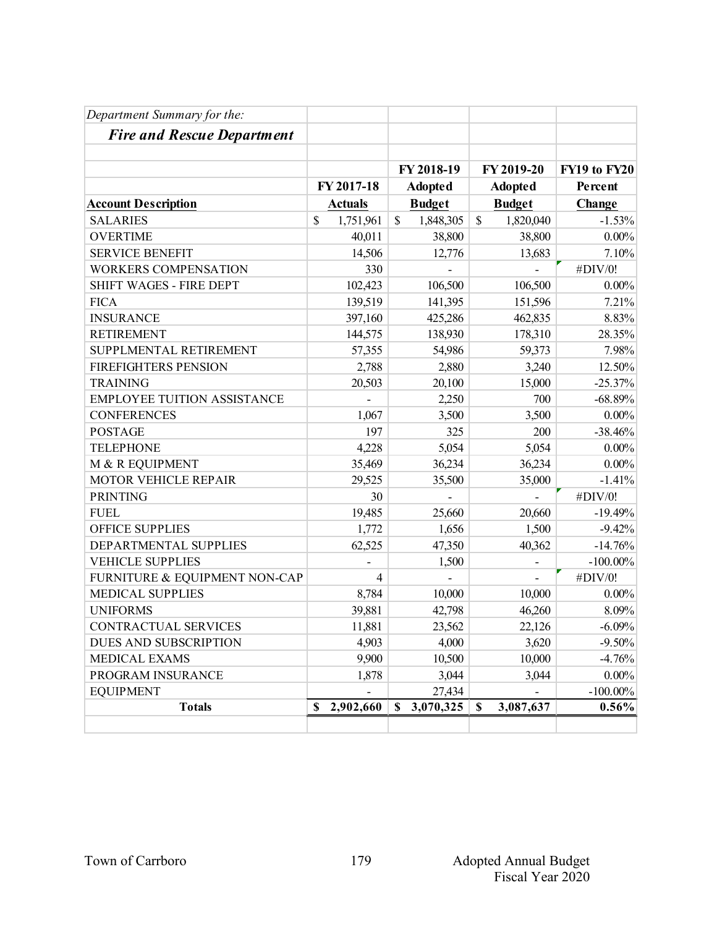| Department Summary for the:        |                 |                           |                           |              |
|------------------------------------|-----------------|---------------------------|---------------------------|--------------|
| <b>Fire and Rescue Department</b>  |                 |                           |                           |              |
|                                    |                 |                           |                           |              |
|                                    |                 | FY 2018-19                | FY 2019-20                | FY19 to FY20 |
|                                    | FY 2017-18      | <b>Adopted</b>            | <b>Adopted</b>            | Percent      |
| <b>Account Description</b>         | <b>Actuals</b>  | <b>Budget</b>             | <b>Budget</b>             | Change       |
| <b>SALARIES</b>                    | \$<br>1,751,961 | $\mathbb{S}$<br>1,848,305 | $\mathbb{S}$<br>1,820,040 | $-1.53%$     |
| <b>OVERTIME</b>                    | 40,011          | 38,800                    | 38,800                    | $0.00\%$     |
| <b>SERVICE BENEFIT</b>             | 14,506          | 12,776                    | 13,683                    | 7.10%        |
| <b>WORKERS COMPENSATION</b>        | 330             |                           |                           | #DIV/0!      |
| SHIFT WAGES - FIRE DEPT            | 102,423         | 106,500                   | 106,500                   | $0.00\%$     |
| <b>FICA</b>                        | 139,519         | 141,395                   | 151,596                   | 7.21%        |
| <b>INSURANCE</b>                   | 397,160         | 425,286                   | 462,835                   | 8.83%        |
| <b>RETIREMENT</b>                  | 144,575         | 138,930                   | 178,310                   | 28.35%       |
| SUPPLMENTAL RETIREMENT             | 57,355          | 54,986                    | 59,373                    | 7.98%        |
| <b>FIREFIGHTERS PENSION</b>        | 2,788           | 2,880                     | 3,240                     | 12.50%       |
| <b>TRAINING</b>                    | 20,503          | 20,100                    | 15,000                    | $-25.37%$    |
| <b>EMPLOYEE TUITION ASSISTANCE</b> |                 | 2,250                     | 700                       | $-68.89%$    |
| <b>CONFERENCES</b>                 | 1,067           | 3,500                     | 3,500                     | $0.00\%$     |
| <b>POSTAGE</b>                     | 197             | 325                       | 200                       | $-38.46%$    |
| <b>TELEPHONE</b>                   | 4,228           | 5,054                     | 5,054                     | $0.00\%$     |
| M & R EQUIPMENT                    | 35,469          | 36,234                    | 36,234                    | $0.00\%$     |
| MOTOR VEHICLE REPAIR               | 29,525          | 35,500                    | 35,000                    | $-1.41%$     |
| <b>PRINTING</b>                    | 30              |                           |                           | #DIV/0!      |
| <b>FUEL</b>                        | 19,485          | 25,660                    | 20,660                    | $-19.49%$    |
| <b>OFFICE SUPPLIES</b>             | 1,772           | 1,656                     | 1,500                     | $-9.42%$     |
| DEPARTMENTAL SUPPLIES              | 62,525          | 47,350                    | 40,362                    | $-14.76%$    |
| <b>VEHICLE SUPPLIES</b>            |                 | 1,500                     |                           | $-100.00\%$  |
| FURNITURE & EQUIPMENT NON-CAP      | $\overline{4}$  |                           | $\overline{\phantom{0}}$  | #DIV/0!      |
| <b>MEDICAL SUPPLIES</b>            | 8,784           | 10,000                    | 10,000                    | $0.00\%$     |
| <b>UNIFORMS</b>                    | 39,881          | 42,798                    | 46,260                    | 8.09%        |
| CONTRACTUAL SERVICES               | 11,881          | 23,562                    | 22,126                    | $-6.09%$     |
| DUES AND SUBSCRIPTION              | 4,903           | 4,000                     | 3,620                     | $-9.50%$     |
| MEDICAL EXAMS                      | 9,900           | 10,500                    | 10,000                    | $-4.76%$     |
| PROGRAM INSURANCE                  | 1,878           | 3,044                     | 3,044                     | $0.00\%$     |
| <b>EQUIPMENT</b>                   |                 | 27,434                    |                           | $-100.00\%$  |
| <b>Totals</b>                      | 2,902,660<br>\$ | 3,070,325<br>\$           | 3,087,637<br>S            | $0.56\%$     |
|                                    |                 |                           |                           |              |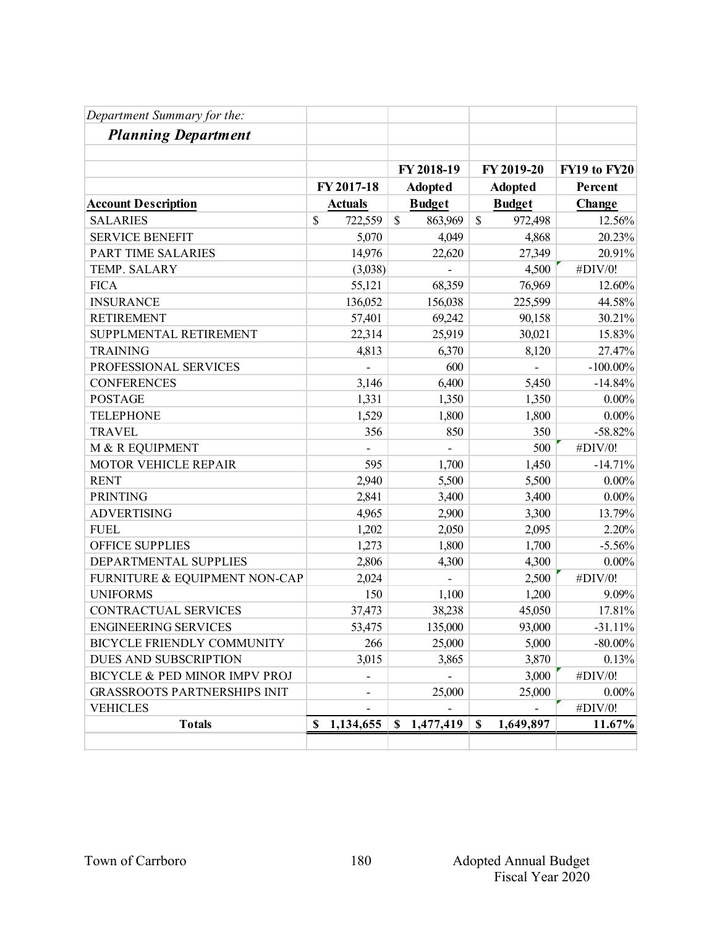| Department Summary for the:         |                 |                |                          |              |
|-------------------------------------|-----------------|----------------|--------------------------|--------------|
| <b>Planning Department</b>          |                 |                |                          |              |
|                                     |                 |                |                          |              |
|                                     |                 | FY 2018-19     | FY 2019-20               | FY19 to FY20 |
|                                     | FY 2017-18      | <b>Adopted</b> | <b>Adopted</b>           | Percent      |
| <b>Account Description</b>          | <b>Actuals</b>  | <b>Budget</b>  | <b>Budget</b>            | Change       |
| <b>SALARIES</b>                     | \$<br>722,559   | \$<br>863,969  | $\mathcal{S}$<br>972,498 | 12.56%       |
| <b>SERVICE BENEFIT</b>              | 5,070           | 4,049          | 4,868                    | 20.23%       |
| <b>PART TIME SALARIES</b>           | 14,976          | 22,620         | 27,349                   | 20.91%       |
| TEMP. SALARY                        | (3,038)         |                | 4,500                    | #DIV/0!      |
| <b>FICA</b>                         | 55,121          | 68,359         | 76,969                   | 12.60%       |
| <b>INSURANCE</b>                    | 136,052         | 156,038        | 225,599                  | 44.58%       |
| <b>RETIREMENT</b>                   | 57,401          | 69,242         | 90,158                   | 30.21%       |
| SUPPLMENTAL RETIREMENT              | 22,314          | 25,919         | 30,021                   | 15.83%       |
| <b>TRAINING</b>                     | 4,813           | 6,370          | 8,120                    | 27.47%       |
| PROFESSIONAL SERVICES               |                 | 600            |                          | $-100.00\%$  |
| <b>CONFERENCES</b>                  | 3,146           | 6,400          | 5,450                    | $-14.84%$    |
| <b>POSTAGE</b>                      | 1,331           | 1,350          | 1,350                    | $0.00\%$     |
| <b>TELEPHONE</b>                    | 1,529           | 1,800          | 1,800                    | $0.00\%$     |
| <b>TRAVEL</b>                       | 356             | 850            | 350                      | $-58.82%$    |
| M & R EQUIPMENT                     |                 |                | 500                      | #DIV/0!      |
| MOTOR VEHICLE REPAIR                | 595             | 1,700          | 1,450                    | $-14.71%$    |
| <b>RENT</b>                         | 2,940           | 5,500          | 5,500                    | $0.00\%$     |
| <b>PRINTING</b>                     | 2,841           | 3,400          | 3,400                    | $0.00\%$     |
| <b>ADVERTISING</b>                  | 4,965           | 2,900          | 3,300                    | 13.79%       |
| <b>FUEL</b>                         | 1,202           | 2,050          | 2,095                    | 2.20%        |
| <b>OFFICE SUPPLIES</b>              | 1,273           | 1,800          | 1,700                    | $-5.56%$     |
| DEPARTMENTAL SUPPLIES               | 2,806           | 4,300          | 4,300                    | $0.00\%$     |
| FURNITURE & EQUIPMENT NON-CAP       | 2,024           |                | 2,500                    | #DIV/0!      |
| <b>UNIFORMS</b>                     | 150             | 1,100          | 1,200                    | 9.09%        |
| CONTRACTUAL SERVICES                | 37,473          | 38,238         | 45,050                   | 17.81%       |
| <b>ENGINEERING SERVICES</b>         | 53,475          | 135,000        | 93,000                   | $-31.11%$    |
| <b>BICYCLE FRIENDLY COMMUNITY</b>   | 266             | 25,000         | 5,000                    | $-80.00\%$   |
| DUES AND SUBSCRIPTION               | 3,015           | 3,865          | 3,870                    | 0.13%        |
| BICYCLE & PED MINOR IMPV PROJ       |                 |                | 3,000                    | #DIV/0!      |
| <b>GRASSROOTS PARTNERSHIPS INIT</b> |                 | 25,000         | 25,000                   | $0.00\%$     |
| <b>VEHICLES</b>                     |                 |                |                          | #DIV/0!      |
| <b>Totals</b>                       | 1,134,655<br>\$ | \$1,477,419    | 1,649,897<br>S           | 11.67%       |
|                                     |                 |                |                          |              |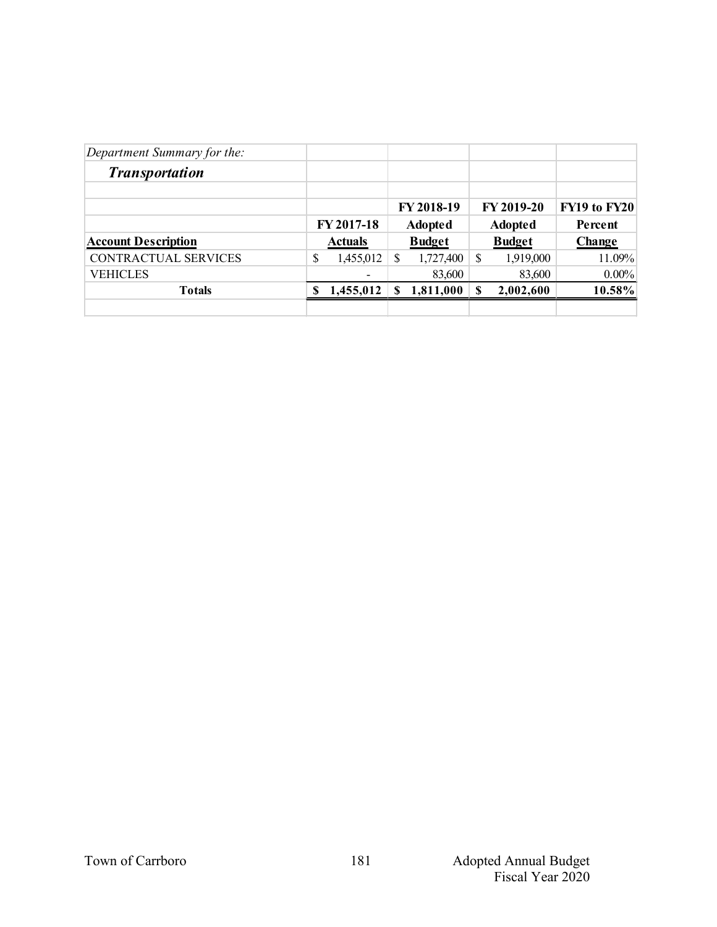| Department Summary for the: |   |                |    |                |   |                |               |
|-----------------------------|---|----------------|----|----------------|---|----------------|---------------|
| <b>Transportation</b>       |   |                |    |                |   |                |               |
|                             |   |                |    | FY 2018-19     |   | FY 2019-20     | FY19 to FY20  |
|                             |   | FY 2017-18     |    | <b>Adopted</b> |   | <b>Adopted</b> | Percent       |
| <b>Account Description</b>  |   | <b>Actuals</b> |    | <b>Budget</b>  |   | <b>Budget</b>  | <b>Change</b> |
| CONTRACTUAL SERVICES        | S | 1,455,012      | \$ | 1,727,400      | S | 1,919,000      | 11.09%        |
| <b>VEHICLES</b>             |   | ۰              |    | 83,600         |   | 83,600         | $0.00\%$      |
| <b>Totals</b>               | S | 1,455,012      | S  | 1,811,000      | S | 2,002,600      | 10.58%        |
|                             |   |                |    |                |   |                |               |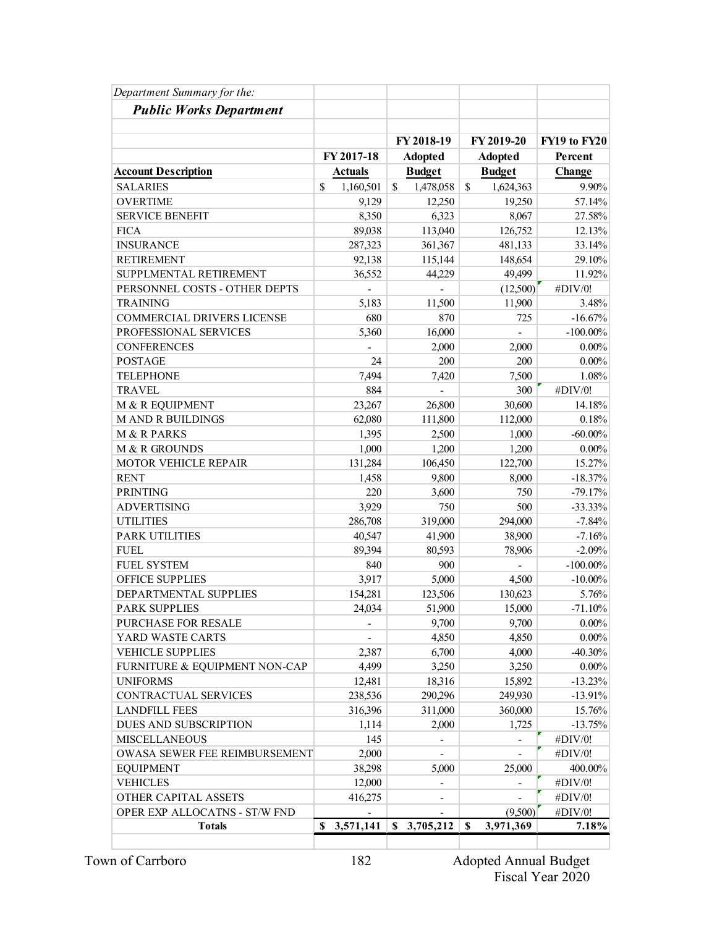| Department Summary for the:       |                            |                          |                 |              |
|-----------------------------------|----------------------------|--------------------------|-----------------|--------------|
| <b>Public Works Department</b>    |                            |                          |                 |              |
|                                   |                            |                          |                 |              |
|                                   |                            | FY 2018-19               | FY 2019-20      | FY19 to FY20 |
|                                   | FY 2017-18                 | <b>Adopted</b>           | <b>Adopted</b>  | Percent      |
| <b>Account Description</b>        | <b>Actuals</b>             | <b>Budget</b>            | <b>Budget</b>   | Change       |
| <b>SALARIES</b>                   | $\mathcal{S}$<br>1,160,501 | \$<br>1,478,058          | \$<br>1,624,363 | 9.90%        |
| <b>OVERTIME</b>                   | 9,129                      | 12,250                   | 19,250          | 57.14%       |
| <b>SERVICE BENEFIT</b>            | 8,350                      | 6,323                    | 8,067           | 27.58%       |
| <b>FICA</b>                       | 89,038                     | 113,040                  | 126,752         | 12.13%       |
| <b>INSURANCE</b>                  | 287,323                    | 361,367                  | 481,133         | 33.14%       |
| <b>RETIREMENT</b>                 | 92,138                     | 115,144                  | 148,654         | 29.10%       |
| SUPPLMENTAL RETIREMENT            | 36,552                     | 44,229                   | 49,499          | 11.92%       |
| PERSONNEL COSTS - OTHER DEPTS     |                            |                          | (12,500)        | #DIV/0!      |
| <b>TRAINING</b>                   | 5,183                      | 11,500                   | 11,900          | 3.48%        |
| <b>COMMERCIAL DRIVERS LICENSE</b> | 680                        | 870                      | 725             | $-16.67%$    |
| PROFESSIONAL SERVICES             | 5,360                      | 16,000                   |                 | $-100.00\%$  |
| <b>CONFERENCES</b>                |                            | 2,000                    | 2,000           | $0.00\%$     |
| <b>POSTAGE</b>                    | 24                         | 200                      | 200             | $0.00\%$     |
| <b>TELEPHONE</b>                  | 7,494                      | 7,420                    | 7,500           | 1.08%        |
| <b>TRAVEL</b>                     | 884                        |                          | 300             | #DIV/0!      |
| M & R EQUIPMENT                   | 23,267                     | 26,800                   | 30,600          | 14.18%       |
| <b>MAND R BUILDINGS</b>           | 62,080                     | 111,800                  | 112,000         | 0.18%        |
| M & R PARKS                       | 1,395                      | 2,500                    | 1,000           | $-60.00\%$   |
| M & R GROUNDS                     | 1,000                      | 1,200                    | 1,200           | $0.00\%$     |
| MOTOR VEHICLE REPAIR              | 131,284                    | 106,450                  | 122,700         | 15.27%       |
| <b>RENT</b>                       | 1,458                      | 9,800                    | 8,000           | $-18.37\%$   |
| <b>PRINTING</b>                   | 220                        | 3,600                    | 750             | $-79.17%$    |
| <b>ADVERTISING</b>                | 3,929                      | 750                      | 500             | $-33.33%$    |
| <b>UTILITIES</b>                  | 286,708                    | 319,000                  | 294,000         | $-7.84%$     |
| <b>PARK UTILITIES</b>             | 40,547                     | 41,900                   | 38,900          | $-7.16%$     |
| <b>FUEL</b>                       | 89,394                     | 80,593                   | 78,906          | $-2.09%$     |
| <b>FUEL SYSTEM</b>                | 840                        | 900                      |                 | $-100.00\%$  |
| OFFICE SUPPLIES                   | 3,917                      | 5,000                    | 4,500           | $-10.00\%$   |
| DEPARTMENTAL SUPPLIES             | 154,281                    | 123,506                  | 130,623         | 5.76%        |
| <b>PARK SUPPLIES</b>              | 24,034                     | 51,900                   | 15,000          | $-71.10%$    |
| PURCHASE FOR RESALE               |                            | 9,700                    | 9,700           | $0.00\%$     |
| YARD WASTE CARTS                  |                            | 4,850                    | 4,850           | $0.00\%$     |
| <b>VEHICLE SUPPLIES</b>           | 2,387                      | 6,700                    | 4,000           | $-40.30%$    |
| FURNITURE & EQUIPMENT NON-CAP     | 4,499                      | 3,250                    | 3,250           | $0.00\%$     |
| <b>UNIFORMS</b>                   | 12,481                     | 18,316                   | 15,892          | $-13.23%$    |
| CONTRACTUAL SERVICES              | 238,536                    | 290,296                  | 249,930         | $-13.91%$    |
| <b>LANDFILL FEES</b>              | 316,396                    | 311,000                  | 360,000         | 15.76%       |
| DUES AND SUBSCRIPTION             | 1,114                      | 2,000                    | 1,725           | $-13.75%$    |
| <b>MISCELLANEOUS</b>              | 145                        |                          |                 | #DIV/0!      |
| OWASA SEWER FEE REIMBURSEMENT     | 2,000                      |                          |                 | #DIV/0!      |
| <b>EQUIPMENT</b>                  | 38,298                     | 5,000                    | 25,000          | 400.00%      |
| <b>VEHICLES</b>                   | 12,000                     | $\overline{\phantom{0}}$ |                 | #DIV/0!      |
| OTHER CAPITAL ASSETS              | 416,275                    |                          |                 | #DIV/0!      |
| OPER EXP ALLOCATNS - ST/W FND     |                            |                          | (9,500)         | #DIV/0!      |
| <b>Totals</b>                     | 3,571,141<br>S             | 3,705,212<br>S           | 3,971,369<br>S  | 7.18%        |
|                                   |                            |                          |                 |              |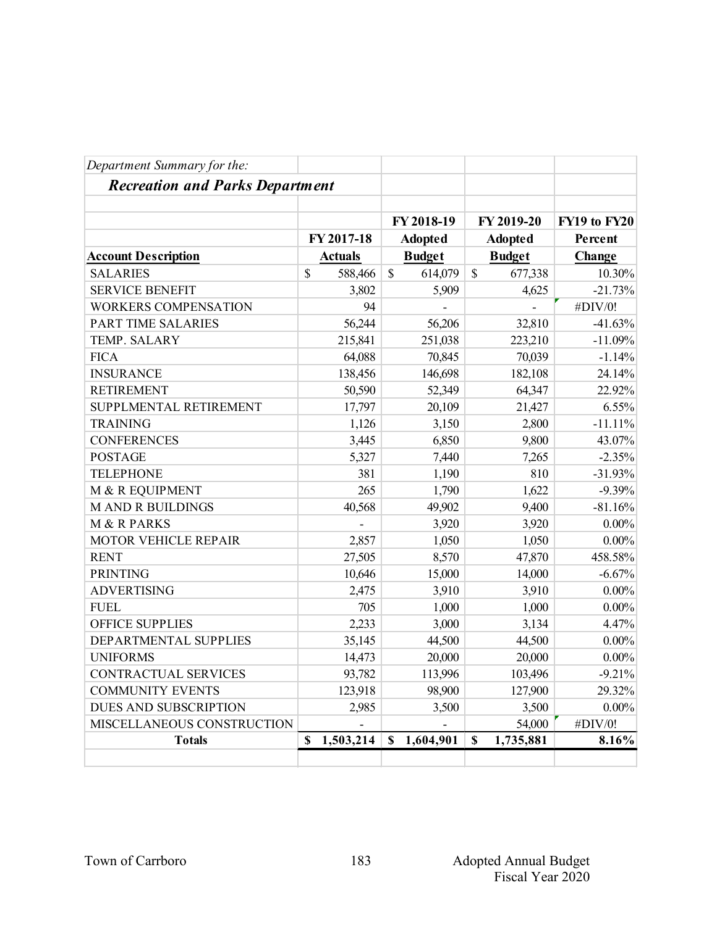| Department Summary for the:            |                          |                         |                          |              |
|----------------------------------------|--------------------------|-------------------------|--------------------------|--------------|
| <b>Recreation and Parks Department</b> |                          |                         |                          |              |
|                                        |                          | FY 2018-19              | FY 2019-20               | FY19 to FY20 |
|                                        | FY 2017-18               | <b>Adopted</b>          | <b>Adopted</b>           | Percent      |
| <b>Account Description</b>             | <b>Actuals</b>           | <b>Budget</b>           | <b>Budget</b>            | Change       |
| <b>SALARIES</b>                        | $\mathbb{S}$<br>588,466  | $\mathbb{S}$<br>614,079 | $\mathbb{S}$<br>677,338  | 10.30%       |
| <b>SERVICE BENEFIT</b>                 | 3,802                    | 5,909                   | 4,625                    | $-21.73%$    |
| <b>WORKERS COMPENSATION</b>            | 94                       |                         |                          | #DIV/0!      |
| PART TIME SALARIES                     | 56,244                   | 56,206                  | 32,810                   | $-41.63%$    |
| TEMP. SALARY                           | 215,841                  | 251,038                 | 223,210                  | $-11.09%$    |
| <b>FICA</b>                            | 64,088                   | 70,845                  | 70,039                   | $-1.14%$     |
| <b>INSURANCE</b>                       | 138,456                  | 146,698                 | 182,108                  | 24.14%       |
| <b>RETIREMENT</b>                      | 50,590                   | 52,349                  | 64,347                   | 22.92%       |
| SUPPLMENTAL RETIREMENT                 | 17,797                   | 20,109                  | 21,427                   | 6.55%        |
| <b>TRAINING</b>                        | 1,126                    | 3,150                   | 2,800                    | $-11.11%$    |
| <b>CONFERENCES</b>                     | 3,445                    | 6,850                   | 9,800                    | 43.07%       |
| <b>POSTAGE</b>                         | 5,327                    | 7,440                   | 7,265                    | $-2.35%$     |
| <b>TELEPHONE</b>                       | 381                      | 1,190                   | 810                      | $-31.93%$    |
| M & R EQUIPMENT                        | 265                      | 1,790                   | 1,622                    | $-9.39%$     |
| <b>MAND R BUILDINGS</b>                | 40,568                   | 49,902                  | 9,400                    | $-81.16%$    |
| M & R PARKS                            |                          | 3,920                   | 3,920                    | $0.00\%$     |
| MOTOR VEHICLE REPAIR                   | 2,857                    | 1,050                   | 1,050                    | $0.00\%$     |
| <b>RENT</b>                            | 27,505                   | 8,570                   | 47,870                   | 458.58%      |
| <b>PRINTING</b>                        | 10,646                   | 15,000                  | 14,000                   | $-6.67%$     |
| <b>ADVERTISING</b>                     | 2,475                    | 3,910                   | 3,910                    | $0.00\%$     |
| <b>FUEL</b>                            | 705                      | 1,000                   | 1,000                    | $0.00\%$     |
| OFFICE SUPPLIES                        | 2,233                    | 3,000                   | 3,134                    | 4.47%        |
| DEPARTMENTAL SUPPLIES                  | 35,145                   | 44,500                  | 44,500                   | $0.00\%$     |
| <b>UNIFORMS</b>                        | 14,473                   | 20,000                  | 20,000                   | $0.00\%$     |
| <b>CONTRACTUAL SERVICES</b>            | 93,782                   | 113,996                 | 103,496                  | $-9.21%$     |
| <b>COMMUNITY EVENTS</b>                | 123,918                  | 98,900                  | 127,900                  | 29.32%       |
| <b>DUES AND SUBSCRIPTION</b>           | 2,985                    | 3,500                   | 3,500                    | $0.00\%$     |
| MISCELLANEOUS CONSTRUCTION             |                          |                         | 54,000                   | #DIV/0!      |
| <b>Totals</b>                          | 1,503,214<br>$\mathbf S$ | 1,604,901<br>\$         | $\mathbf S$<br>1,735,881 | 8.16%        |
|                                        |                          |                         |                          |              |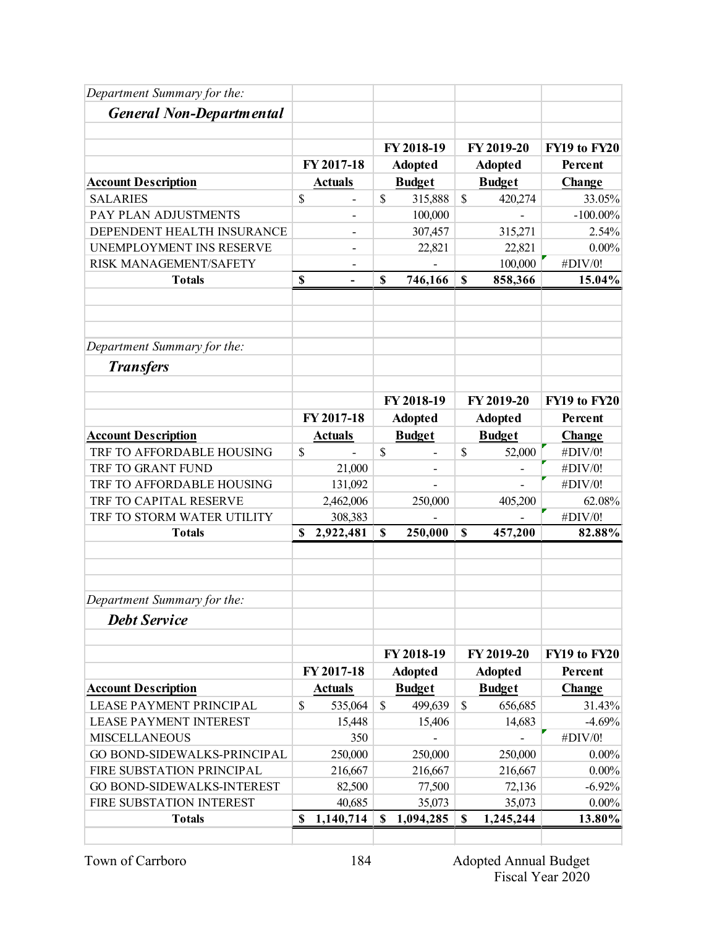| Department Summary for the:     |             |                          |                |                          |                           |                |              |
|---------------------------------|-------------|--------------------------|----------------|--------------------------|---------------------------|----------------|--------------|
| <b>General Non-Departmental</b> |             |                          |                |                          |                           |                |              |
|                                 |             |                          |                |                          |                           |                |              |
|                                 |             |                          |                | FY 2018-19               |                           | FY 2019-20     | FY19 to FY20 |
|                                 |             | FY 2017-18               |                | <b>Adopted</b>           |                           | <b>Adopted</b> | Percent      |
| <b>Account Description</b>      |             | <b>Actuals</b>           |                | <b>Budget</b>            |                           | <b>Budget</b>  | Change       |
| <b>SALARIES</b>                 | \$          | $\overline{\phantom{a}}$ | \$             | 315,888                  | $\mathbb{S}$              | 420,274        | 33.05%       |
| PAY PLAN ADJUSTMENTS            |             |                          |                | 100,000                  |                           |                | $-100.00\%$  |
| DEPENDENT HEALTH INSURANCE      |             | $\overline{a}$           |                | 307,457                  |                           | 315,271        | 2.54%        |
| UNEMPLOYMENT INS RESERVE        |             | $\overline{\phantom{a}}$ |                | 22,821                   |                           | 22,821         | $0.00\%$     |
| RISK MANAGEMENT/SAFETY          |             |                          |                |                          |                           | 100,000        | #DIV/0!      |
| <b>Totals</b>                   | \$          |                          | $\mathbf S$    | 746,166                  | $\mathbf S$               | 858,366        | 15.04%       |
|                                 |             |                          |                |                          |                           |                |              |
| Department Summary for the:     |             |                          |                |                          |                           |                |              |
| <b>Transfers</b>                |             |                          |                |                          |                           |                |              |
|                                 |             |                          |                |                          |                           |                |              |
|                                 |             |                          |                | FY 2018-19               |                           | FY 2019-20     | FY19 to FY20 |
|                                 |             | FY 2017-18               |                | <b>Adopted</b>           |                           | <b>Adopted</b> | Percent      |
| <b>Account Description</b>      |             | <b>Actuals</b>           |                | <b>Budget</b>            |                           | <b>Budget</b>  | Change       |
| TRF TO AFFORDABLE HOUSING       | \$          |                          | \$             | $\overline{\phantom{a}}$ | \$                        | 52,000         | #DIV/0!      |
| TRF TO GRANT FUND               |             | 21,000                   |                |                          |                           |                | #DIV/0!      |
| TRF TO AFFORDABLE HOUSING       |             | 131,092                  |                |                          |                           |                | #DIV/0!      |
| TRF TO CAPITAL RESERVE          |             | 2,462,006                |                | 250,000                  |                           | 405,200        | 62.08%       |
| TRF TO STORM WATER UTILITY      |             | 308,383                  |                |                          |                           |                | #DIV/0!      |
| <b>Totals</b>                   | \$          | 2,922,481                | $\mathbf S$    | 250,000                  | $\mathbf S$               | 457,200        | 82.88%       |
|                                 |             |                          |                |                          |                           |                |              |
| Department Summary for the:     |             |                          |                |                          |                           |                |              |
| <b>Debt Service</b>             |             |                          |                |                          |                           |                |              |
|                                 |             |                          |                | FY 2018-19               |                           | FY 2019-20     | FY19 to FY20 |
|                                 | FY 2017-18  |                          | <b>Adopted</b> |                          | <b>Adopted</b>            |                | Percent      |
| <b>Account Description</b>      |             | <b>Actuals</b>           |                | <b>Budget</b>            |                           | <b>Budget</b>  | Change       |
| <b>LEASE PAYMENT PRINCIPAL</b>  | \$          | 535,064                  | $\mathbb{S}$   | 499,639                  | $\mathbb{S}$              | 656,685        | 31.43%       |
| <b>LEASE PAYMENT INTEREST</b>   |             | 15,448                   |                | 15,406                   |                           | 14,683         | $-4.69%$     |
| <b>MISCELLANEOUS</b>            |             | 350                      |                |                          |                           |                | #DIV/0!      |
| GO BOND-SIDEWALKS-PRINCIPAL     |             | 250,000                  |                | 250,000                  |                           | 250,000        | $0.00\%$     |
| FIRE SUBSTATION PRINCIPAL       |             | 216,667                  |                | 216,667                  |                           | 216,667        | $0.00\%$     |
| GO BOND-SIDEWALKS-INTEREST      |             | 82,500                   |                | 77,500                   |                           | 72,136         | $-6.92%$     |
| FIRE SUBSTATION INTEREST        |             | 40,685                   |                | 35,073                   |                           | 35,073         | $0.00\%$     |
| <b>Totals</b>                   | $\mathbf S$ | 1,140,714                | \$             | 1,094,285                | $\boldsymbol{\mathsf{S}}$ | 1,245,244      | 13.80%       |
|                                 |             |                          |                |                          |                           |                |              |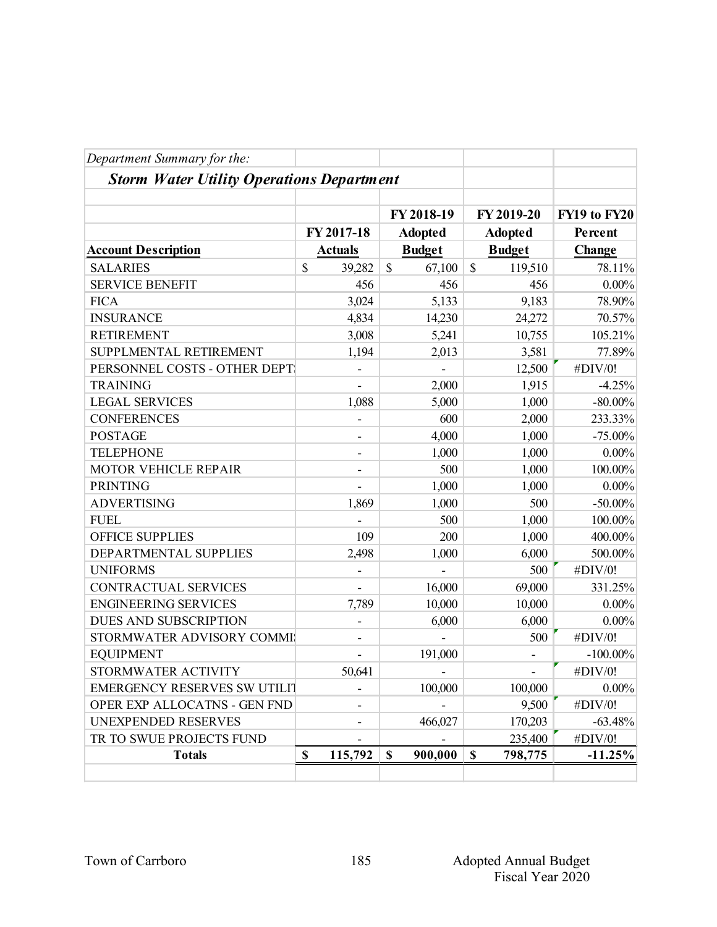| Department Summary for the:                      |                          |                        |                          |              |
|--------------------------------------------------|--------------------------|------------------------|--------------------------|--------------|
| <b>Storm Water Utility Operations Department</b> |                          |                        |                          |              |
|                                                  |                          | FY 2018-19             | FY 2019-20               | FY19 to FY20 |
|                                                  | FY 2017-18               | <b>Adopted</b>         | <b>Adopted</b>           | Percent      |
| <b>Account Description</b>                       | <b>Actuals</b>           | <b>Budget</b>          | <b>Budget</b>            | Change       |
| <b>SALARIES</b>                                  | \$<br>39,282             | $\mathbb{S}$<br>67,100 | $\mathbb{S}$<br>119,510  | 78.11%       |
| <b>SERVICE BENEFIT</b>                           | 456                      | 456                    | 456                      | $0.00\%$     |
| <b>FICA</b>                                      | 3,024                    | 5,133                  | 9,183                    | 78.90%       |
| <b>INSURANCE</b>                                 | 4,834                    | 14,230                 | 24,272                   | 70.57%       |
| <b>RETIREMENT</b>                                | 3,008                    | 5,241                  | 10,755                   | 105.21%      |
| SUPPLMENTAL RETIREMENT                           | 1,194                    | 2,013                  | 3,581                    | 77.89%       |
| PERSONNEL COSTS - OTHER DEPT                     |                          |                        | 12,500                   | #DIV/0!      |
| <b>TRAINING</b>                                  | $\blacksquare$           | 2,000                  | 1,915                    | $-4.25%$     |
| <b>LEGAL SERVICES</b>                            | 1,088                    | 5,000                  | 1,000                    | $-80.00\%$   |
| <b>CONFERENCES</b>                               |                          | 600                    | 2,000                    | 233.33%      |
| <b>POSTAGE</b>                                   | $\overline{\phantom{a}}$ | 4,000                  | 1,000                    | $-75.00\%$   |
| <b>TELEPHONE</b>                                 | $\overline{\phantom{m}}$ | 1,000                  | 1,000                    | $0.00\%$     |
| MOTOR VEHICLE REPAIR                             | -                        | 500                    | 1,000                    | 100.00%      |
| <b>PRINTING</b>                                  |                          | 1,000                  | 1,000                    | $0.00\%$     |
| <b>ADVERTISING</b>                               | 1,869                    | 1,000                  | 500                      | $-50.00\%$   |
| <b>FUEL</b>                                      |                          | 500                    | 1,000                    | 100.00%      |
| OFFICE SUPPLIES                                  | 109                      | 200                    | 1,000                    | 400.00%      |
| DEPARTMENTAL SUPPLIES                            | 2,498                    | 1,000                  | 6,000                    | 500.00%      |
| <b>UNIFORMS</b>                                  |                          |                        | 500                      | #DIV/0!      |
| CONTRACTUAL SERVICES                             |                          | 16,000                 | 69,000                   | 331.25%      |
| <b>ENGINEERING SERVICES</b>                      | 7,789                    | 10,000                 | 10,000                   | $0.00\%$     |
| DUES AND SUBSCRIPTION                            |                          | 6,000                  | 6,000                    | $0.00\%$     |
| STORMWATER ADVISORY COMMI                        |                          |                        | 500                      | #DIV/0!      |
| <b>EQUIPMENT</b>                                 | ۰                        | 191,000                |                          | $-100.00\%$  |
| STORMWATER ACTIVITY                              | 50,641                   |                        |                          | #DIV/0!      |
|                                                  |                          |                        | $\overline{\phantom{a}}$ |              |
| EMERGENCY RESERVES SW UTILIT                     |                          | 100,000                | 100,000                  | $0.00\%$     |
| OPER EXP ALLOCATNS - GEN FND                     | ۰                        |                        | 9,500                    | #DIV/0!      |
| UNEXPENDED RESERVES                              |                          | 466,027                | 170,203                  | $-63.48%$    |
| TR TO SWUE PROJECTS FUND                         |                          |                        | 235,400                  | #DIV/0!      |
| <b>Totals</b>                                    | \$<br>115,792            | \$<br>900,000          | $\mathbb S$<br>798,775   | $-11.25%$    |